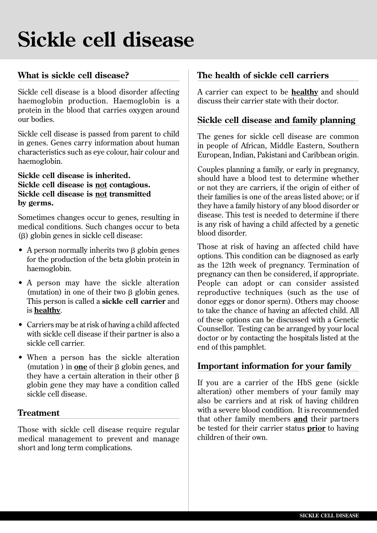# **Sickle cell disease**

## **What is sickle cell disease?**

Sickle cell disease is a blood disorder affecting haemoglobin production. Haemoglobin is a protein in the blood that carries oxygen around our bodies.

Sickle cell disease is passed from parent to child in genes. Genes carry information about human characteristics such as eye colour, hair colour and haemoglobin.

#### **Sickle cell disease is inherited. Sickle cell disease is not contagious. Sickle cell disease is not transmitted by germs.**

Sometimes changes occur to genes, resulting in medical conditions. Such changes occur to beta (b) globin genes in sickle cell disease:

- A person normally inherits two  $\beta$  globin genes for the production of the beta globin protein in haemoglobin.
- A person may have the sickle alteration (mutation) in one of their two  $\beta$  globin genes. This person is called a **sickle cell carrier** and is **healthy**.
- Carriers may be at risk of having a child affected with sickle cell disease if their partner is also a sickle cell carrier.
- When a person has the sickle alteration (mutation) in **one** of their  $\beta$  globin genes, and they have a certain alteration in their other  $\beta$ globin gene they may have a condition called sickle cell disease.

#### **Treatment**

Those with sickle cell disease require regular medical management to prevent and manage short and long term complications.

### **The health of sickle cell carriers**

A carrier can expect to be **healthy** and should discuss their carrier state with their doctor.

#### **Sickle cell disease and family planning**

The genes for sickle cell disease are common in people of African, Middle Eastern, Southern European, Indian, Pakistani and Caribbean origin.

Couples planning a family, or early in pregnancy, should have a blood test to determine whether or not they are carriers, if the origin of either of their families is one of the areas listed above; or if they have a family history of any blood disorder or disease. This test is needed to determine if there is any risk of having a child affected by a genetic blood disorder.

Those at risk of having an affected child have options. This condition can be diagnosed as early as the 12th week of pregnancy. Termination of pregnancy can then be considered, if appropriate. People can adopt or can consider assisted reproductive techniques (such as the use of donor eggs or donor sperm). Others may choose to take the chance of having an affected child. All of these options can be discussed with a Genetic Counsellor. Testing can be arranged by your local doctor or by contacting the hospitals listed at the end of this pamphlet.

#### **Important information for your family**

If you are a carrier of the HbS gene (sickle alteration) other members of your family may also be carriers and at risk of having children with a severe blood condition. It is recommended that other family members **and** their partners be tested for their carrier status **prior** to having children of their own.